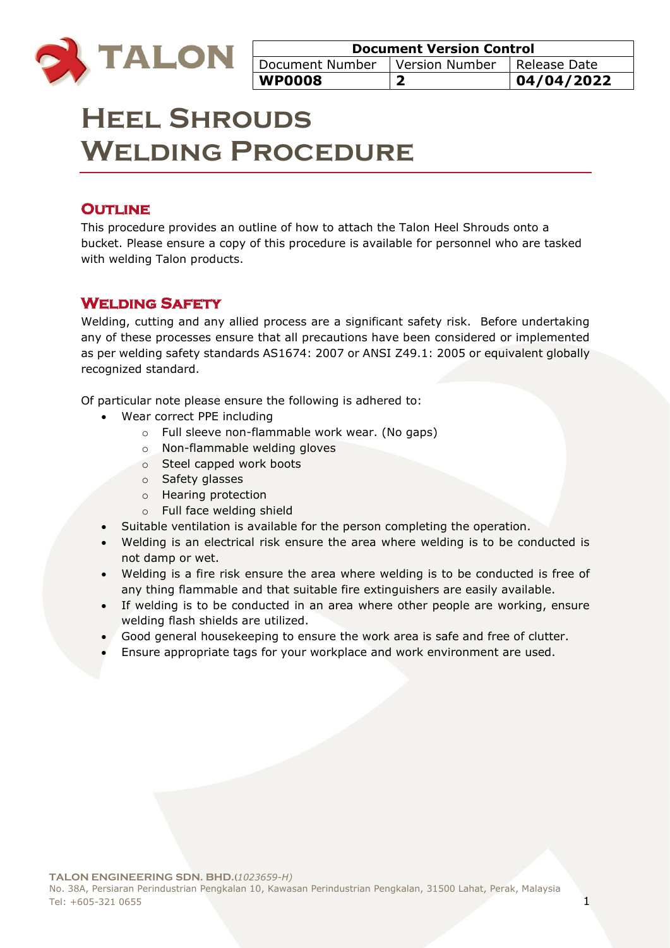

| <b>Document Version Control</b>  |  |                |
|----------------------------------|--|----------------|
| Document Number Y Version Number |  | l Release Date |
| <b>WP0008</b>                    |  | 04/04/2022     |

# **Heel Shrouds Welding Procedure**

### **OUTLINE**

This procedure provides an outline of how to attach the Talon Heel Shrouds onto a bucket. Please ensure a copy of this procedure is available for personnel who are tasked with welding Talon products.

### **Welding Safety**

Welding, cutting and any allied process are a significant safety risk. Before undertaking any of these processes ensure that all precautions have been considered or implemented as per welding safety standards AS1674: 2007 or ANSI Z49.1: 2005 or equivalent globally recognized standard.

Of particular note please ensure the following is adhered to:

- Wear correct PPE including
	- o Full sleeve non-flammable work wear. (No gaps)
	- o Non-flammable welding gloves
	- o Steel capped work boots
	- o Safety glasses
	- o Hearing protection
	- o Full face welding shield
- Suitable ventilation is available for the person completing the operation.
- Welding is an electrical risk ensure the area where welding is to be conducted is not damp or wet.
- Welding is a fire risk ensure the area where welding is to be conducted is free of any thing flammable and that suitable fire extinguishers are easily available.
- If welding is to be conducted in an area where other people are working, ensure welding flash shields are utilized.
- Good general housekeeping to ensure the work area is safe and free of clutter.
- Ensure appropriate tags for your workplace and work environment are used.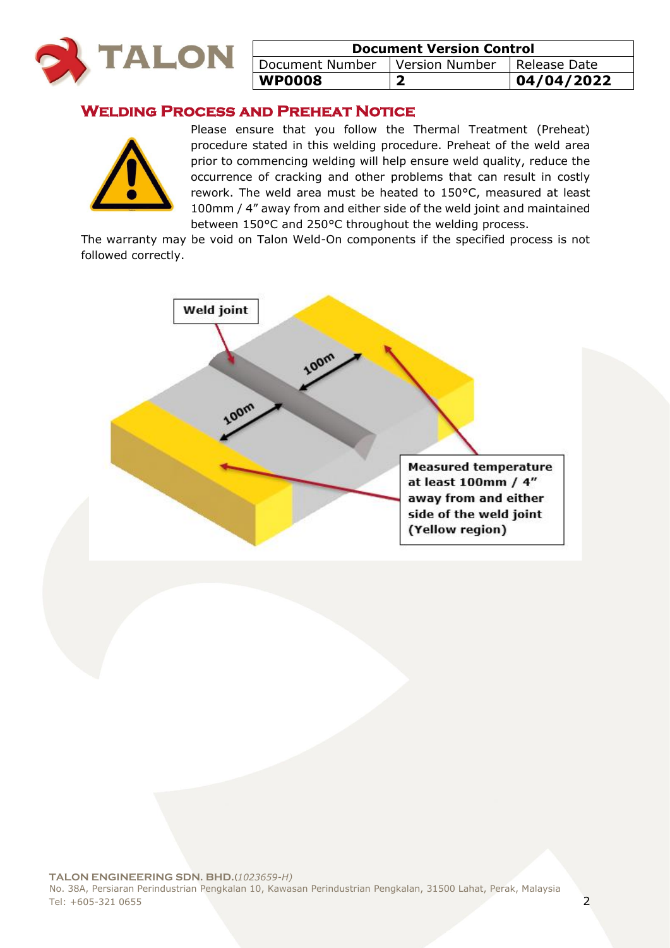

| <b>Document Version Control</b>  |  |              |
|----------------------------------|--|--------------|
| Document Number   Version Number |  | Release Date |
| WP0008                           |  | 04/04/2022   |

### **Welding Process and Preheat Notice**



Please ensure that you follow the Thermal Treatment (Preheat) procedure stated in this welding procedure. Preheat of the weld area prior to commencing welding will help ensure weld quality, reduce the occurrence of cracking and other problems that can result in costly rework. The weld area must be heated to 150°C, measured at least 100mm / 4" away from and either side of the weld joint and maintained between 150°C and 250°C throughout the welding process.

The warranty may be void on Talon Weld-On components if the specified process is not followed correctly.

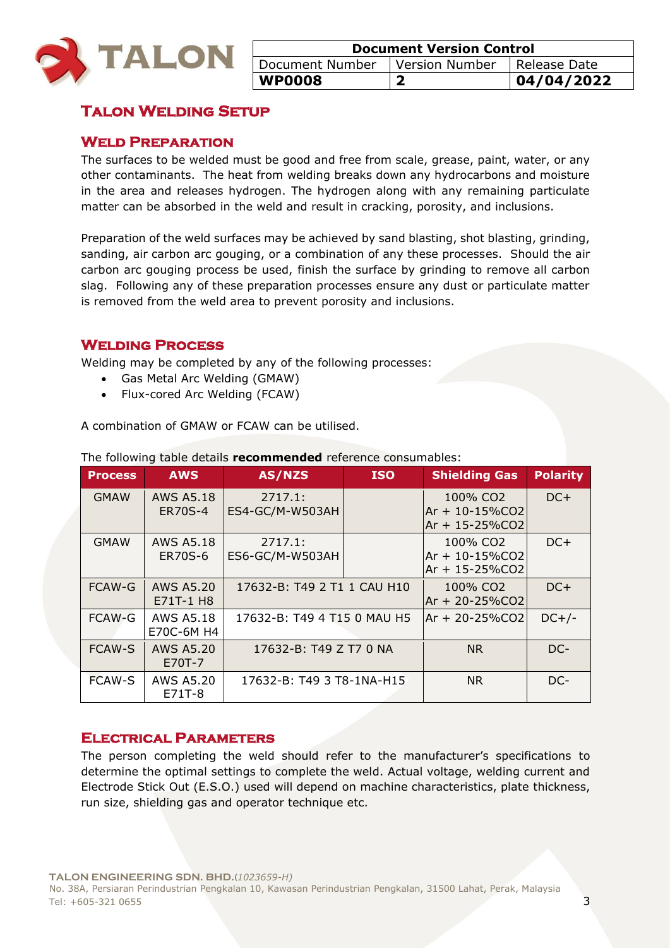

| <b>Document Version Control</b> |                               |            |
|---------------------------------|-------------------------------|------------|
| Document Number                 | Version Number   Release Date |            |
| <b>WP0008</b>                   |                               | 04/04/2022 |

### **Talon Welding Setup**

### **Weld Preparation**

The surfaces to be welded must be good and free from scale, grease, paint, water, or any other contaminants. The heat from welding breaks down any hydrocarbons and moisture in the area and releases hydrogen. The hydrogen along with any remaining particulate matter can be absorbed in the weld and result in cracking, porosity, and inclusions.

Preparation of the weld surfaces may be achieved by sand blasting, shot blasting, grinding, sanding, air carbon arc gouging, or a combination of any these processes. Should the air carbon arc gouging process be used, finish the surface by grinding to remove all carbon slag. Following any of these preparation processes ensure any dust or particulate matter is removed from the weld area to prevent porosity and inclusions.

### **Welding Process**

Welding may be completed by any of the following processes:

- Gas Metal Arc Welding (GMAW)
- Flux-cored Arc Welding (FCAW)

A combination of GMAW or FCAW can be utilised.

| <b>Process</b> | <b>AWS</b>                         | AS/NZS                      | <b>ISO</b> | <b>Shielding Gas</b>                                               | <b>Polarity</b> |
|----------------|------------------------------------|-----------------------------|------------|--------------------------------------------------------------------|-----------------|
| <b>GMAW</b>    | <b>AWS A5.18</b><br><b>ER70S-4</b> | 2717.1:<br>ES4-GC/M-W503AH  |            | 100% CO2<br>$Ar + 10 - 15\%CO2$<br>Ar + 15-25%CO2                  | $DC+$           |
| <b>GMAW</b>    | <b>AWS A5.18</b><br><b>ER70S-6</b> | 2717.1:<br>ES6-GC/M-W503AH  |            | 100% CO <sub>2</sub><br>$Ar + 10 - 15\%CO2$<br>$Ar + 15 - 25\%CO2$ | $DC+$           |
| FCAW-G         | <b>AWS A5.20</b><br>E71T-1 H8      | 17632-B: T49 2 T1 1 CAU H10 |            | 100% CO <sub>2</sub><br>Ar + 20-25%CO2                             | $DC+$           |
| FCAW-G         | <b>AWS A5.18</b><br>E70C-6M H4     | 17632-B: T49 4 T15 0 MAU H5 |            | $Ar + 20 - 25\%CO2$                                                | $DC+/-$         |
| <b>FCAW-S</b>  | AWS A5.20<br>E70T-7                | 17632-B: T49 Z T7 0 NA      |            | <b>NR</b>                                                          | DC-             |
| <b>FCAW-S</b>  | <b>AWS A5.20</b><br>E71T-8         | 17632-B: T49 3 T8-1NA-H15   |            | <b>NR</b>                                                          | DC-             |

The following table details **recommended** reference consumables:

### **Electrical Parameters**

The person completing the weld should refer to the manufacturer's specifications to determine the optimal settings to complete the weld. Actual voltage, welding current and Electrode Stick Out (E.S.O.) used will depend on machine characteristics, plate thickness, run size, shielding gas and operator technique etc.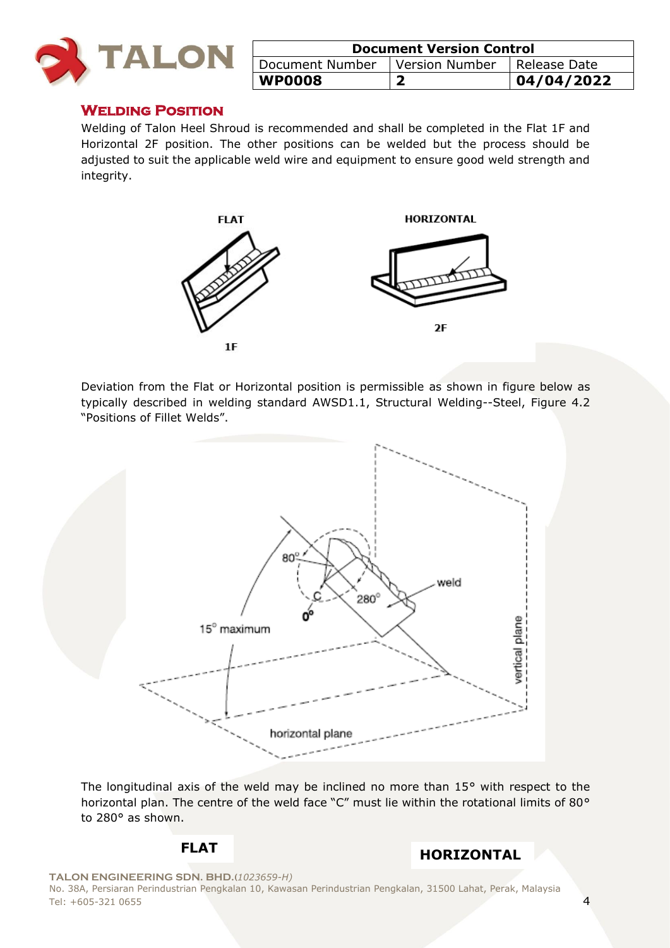

| <b>Document Version Control</b> |                |                |
|---------------------------------|----------------|----------------|
| Document Number                 | Version Number | I Release Date |
| <b>WP0008</b>                   |                | 104/04/2022    |

### **Welding Position**

Welding of Talon Heel Shroud is recommended and shall be completed in the Flat 1F and Horizontal 2F position. The other positions can be welded but the process should be adjusted to suit the applicable weld wire and equipment to ensure good weld strength and integrity.



Deviation from the Flat or Horizontal position is permissible as shown in figure below as typically described in welding standard AWSD1.1, Structural Welding--Steel, Figure 4.2 "Positions of Fillet Welds".



The longitudinal axis of the weld may be inclined no more than 15° with respect to the horizontal plan. The centre of the weld face "C" must lie within the rotational limits of 80° to 280° as shown.

## **FLAT HORIZONTAL**

**TALON ENGINEERING SDN. BHD.(***1023659-H)*

No. 38A, Persiaran Perindustrian Pengkalan 10, Kawasan Perindustrian Pengkalan, 31500 Lahat, Perak, Malaysia Tel: +605-321 0655 4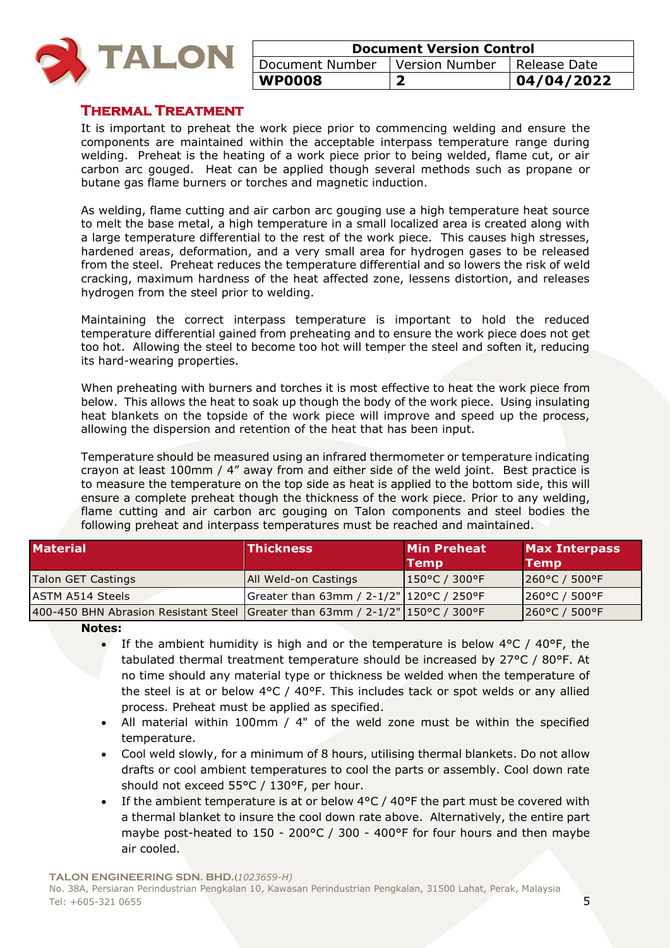

| <b>Document Version Control</b>  |  |                |
|----------------------------------|--|----------------|
| Document Number   Version Number |  | l Release Date |
| WP0008                           |  | 04/04/2022     |

### **Thermal Treatment**

It is important to preheat the work piece prior to commencing welding and ensure the components are maintained within the acceptable interpass temperature range during welding. Preheat is the heating of a work piece prior to being welded, flame cut, or air carbon arc gouged. Heat can be applied though several methods such as propane or butane gas flame burners or torches and magnetic induction.

As welding, flame cutting and air carbon arc gouging use a high temperature heat source to melt the base metal, a high temperature in a small localized area is created along with a large temperature differential to the rest of the work piece. This causes high stresses, hardened areas, deformation, and a very small area for hydrogen gases to be released from the steel. Preheat reduces the temperature differential and so lowers the risk of weld cracking, maximum hardness of the heat affected zone, lessens distortion, and releases hydrogen from the steel prior to welding.

Maintaining the correct interpass temperature is important to hold the reduced temperature differential gained from preheating and to ensure the work piece does not get too hot. Allowing the steel to become too hot will temper the steel and soften it, reducing its hard-wearing properties.

When preheating with burners and torches it is most effective to heat the work piece from below. This allows the heat to soak up though the body of the work piece. Using insulating heat blankets on the topside of the work piece will improve and speed up the process, allowing the dispersion and retention of the heat that has been input.

Temperature should be measured using an infrared thermometer or temperature indicating crayon at least 100mm / 4" away from and either side of the weld joint. Best practice is to measure the temperature on the top side as heat is applied to the bottom side, this will ensure a complete preheat though the thickness of the work piece. Prior to any welding, flame cutting and air carbon arc gouging on Talon components and steel bodies the following preheat and interpass temperatures must be reached and maintained.

| <b>Material</b>                                                                 | <b>Thickness</b>                         | <b>Min Preheat</b><br><b>Temp</b> | <b>Max Interpass</b><br><b>Temp</b> |
|---------------------------------------------------------------------------------|------------------------------------------|-----------------------------------|-------------------------------------|
| Talon GET Castings                                                              | <b>JAII Weld-on Castings</b>             | 150°C / 300°F                     | $ 260^{\circ}$ C / 500°F            |
| <b>ASTM A514 Steels</b>                                                         | Greater than 63mm / 2-1/2" 120°C / 250°F |                                   | $1260^{\circ}$ C / 500 $^{\circ}$ F |
| 400-450 BHN Abrasion Resistant Steel Greater than 63mm / 2-1/2"   150°C / 300°F |                                          |                                   | 260°C / 500°F                       |

**Notes:** 

- If the ambient humidity is high and or the temperature is below  $4^{\circ}$ C /  $40^{\circ}$ F, the tabulated thermal treatment temperature should be increased by 27°C / 80°F. At no time should any material type or thickness be welded when the temperature of the steel is at or below  $4^{\circ}C$  /  $40^{\circ}F$ . This includes tack or spot welds or any allied process. Preheat must be applied as specified.
- All material within 100mm / 4" of the weld zone must be within the specified temperature.
- Cool weld slowly, for a minimum of 8 hours, utilising thermal blankets. Do not allow drafts or cool ambient temperatures to cool the parts or assembly. Cool down rate should not exceed 55°C / 130°F, per hour.
- If the ambient temperature is at or below 4°C / 40°F the part must be covered with a thermal blanket to insure the cool down rate above. Alternatively, the entire part maybe post-heated to 150 - 200°C / 300 - 400°F for four hours and then maybe air cooled.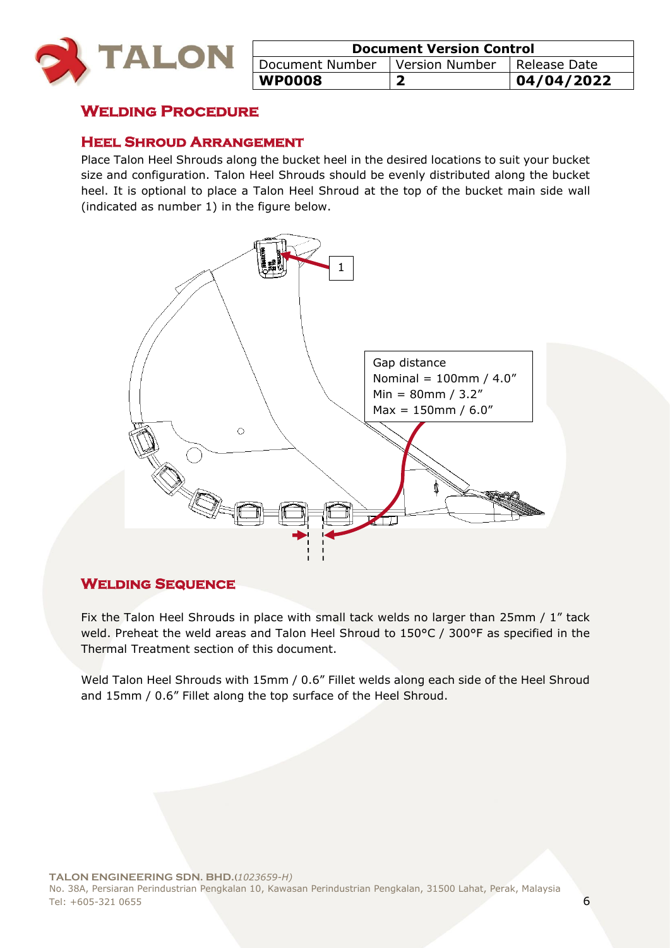

| <b>Document Version Control</b>  |  |                |
|----------------------------------|--|----------------|
| Document Number   Version Number |  | I Release Date |
| <b>WP0008</b>                    |  | 04/04/2022     |

### **Welding Procedure**

### **Heel Shroud Arrangement**

Place Talon Heel Shrouds along the bucket heel in the desired locations to suit your bucket size and configuration. Talon Heel Shrouds should be evenly distributed along the bucket heel. It is optional to place a Talon Heel Shroud at the top of the bucket main side wall (indicated as number 1) in the figure below.



### **Welding Sequence**

Fix the Talon Heel Shrouds in place with small tack welds no larger than 25mm / 1" tack weld. Preheat the weld areas and Talon Heel Shroud to 150°C / 300°F as specified in the Thermal Treatment section of this document.

Weld Talon Heel Shrouds with 15mm / 0.6" Fillet welds along each side of the Heel Shroud and 15mm / 0.6" Fillet along the top surface of the Heel Shroud.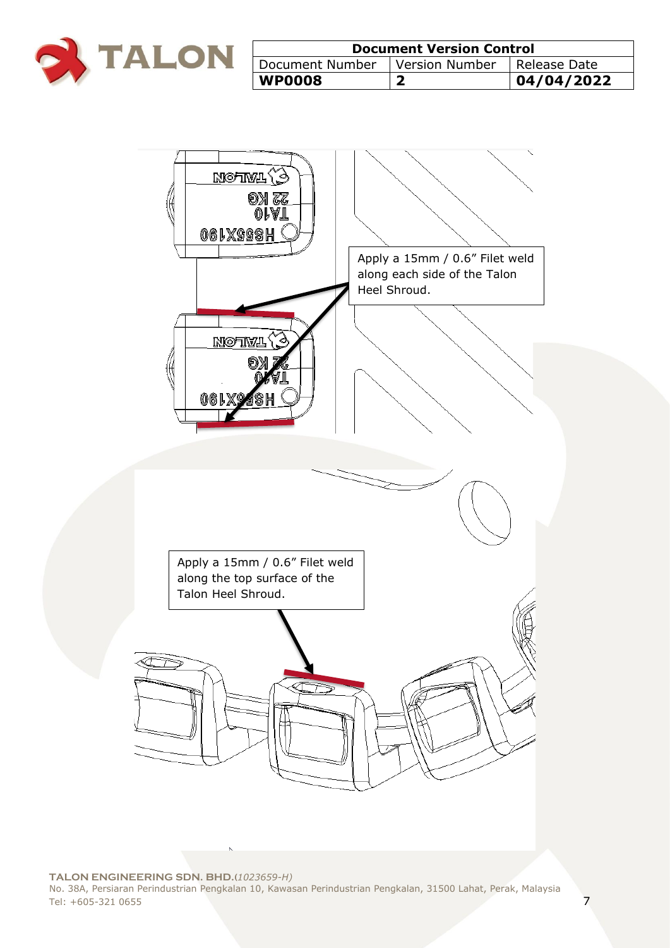

| <b>Document Version Control</b> |                |                |
|---------------------------------|----------------|----------------|
| Document Number                 | Version Number | I Release Date |
| <b>WP0008</b>                   |                | 04/04/2022     |



**TALON ENGINEERING SDN. BHD.(***1023659-H)* No. 38A, Persiaran Perindustrian Pengkalan 10, Kawasan Perindustrian Pengkalan, 31500 Lahat, Perak, Malaysia Tel: +605-321 0655 7